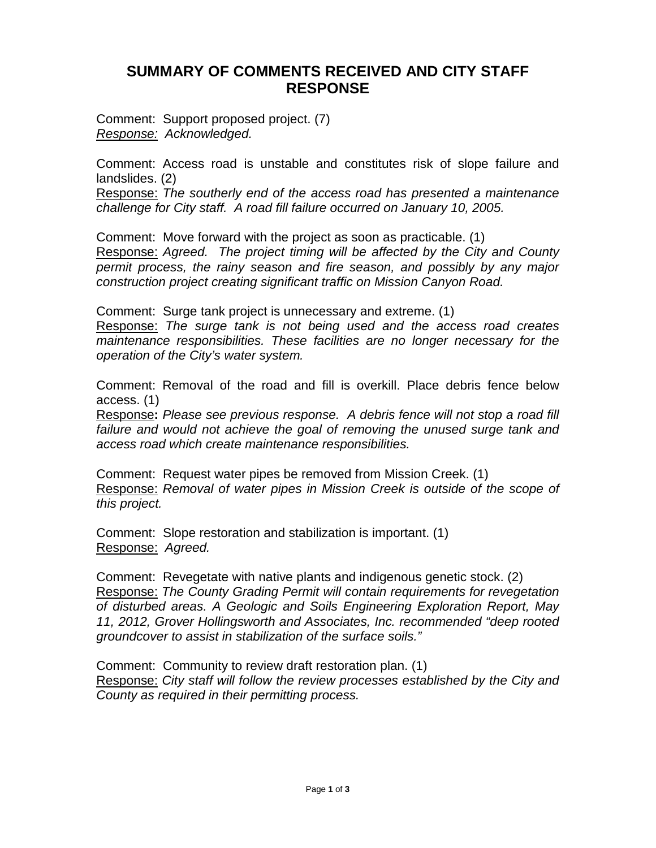## **SUMMARY OF COMMENTS RECEIVED AND CITY STAFF RESPONSE**

Comment: Support proposed project. (7) *Response: Acknowledged.* 

Comment: Access road is unstable and constitutes risk of slope failure and landslides. (2)

Response: *The southerly end of the access road has presented a maintenance challenge for City staff. A road fill failure occurred on January 10, 2005.*

Comment: Move forward with the project as soon as practicable. (1)

Response: *Agreed. The project timing will be affected by the City and County permit process, the rainy season and fire season, and possibly by any major construction project creating significant traffic on Mission Canyon Road.* 

Comment: Surge tank project is unnecessary and extreme. (1)

Response: *The surge tank is not being used and the access road creates maintenance responsibilities. These facilities are no longer necessary for the operation of the City's water system.*

Comment: Removal of the road and fill is overkill. Place debris fence below access. (1)

Response**:** *Please see previous response. A debris fence will not stop a road fill failure and would not achieve the goal of removing the unused surge tank and access road which create maintenance responsibilities.*

Comment: Request water pipes be removed from Mission Creek. (1) Response: *Removal of water pipes in Mission Creek is outside of the scope of this project.*

Comment: Slope restoration and stabilization is important. (1) Response: *Agreed.*

Comment: Revegetate with native plants and indigenous genetic stock. (2) Response: *The County Grading Permit will contain requirements for revegetation of disturbed areas. A Geologic and Soils Engineering Exploration Report, May 11, 2012, Grover Hollingsworth and Associates, Inc. recommended "deep rooted groundcover to assist in stabilization of the surface soils."*

Comment: Community to review draft restoration plan. (1) Response: *City staff will follow the review processes established by the City and County as required in their permitting process.*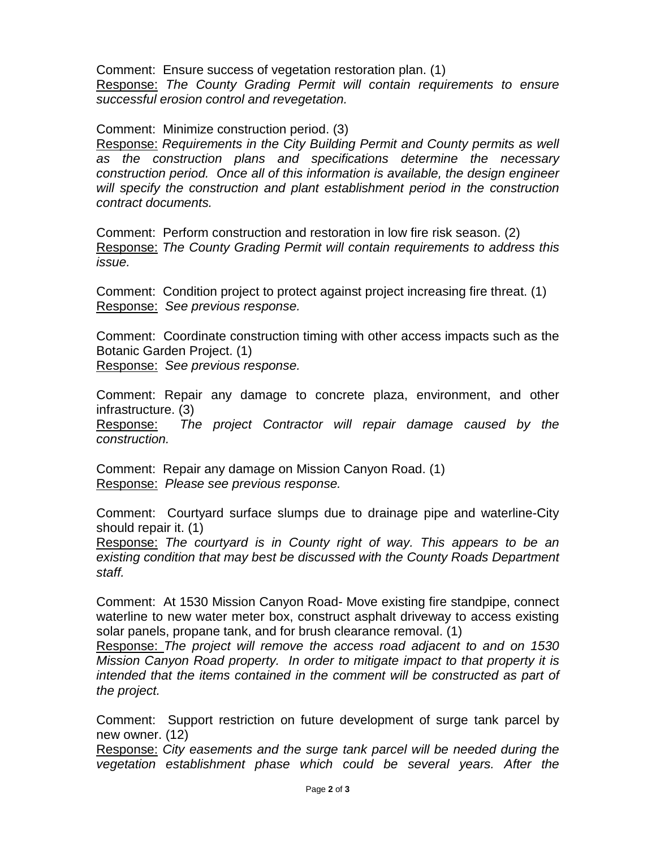Comment: Ensure success of vegetation restoration plan. (1) Response: *The County Grading Permit will contain requirements to ensure successful erosion control and revegetation.*

Comment: Minimize construction period. (3)

Response: *Requirements in the City Building Permit and County permits as well as the construction plans and specifications determine the necessary construction period. Once all of this information is available, the design engineer will specify the construction and plant establishment period in the construction contract documents.*

Comment: Perform construction and restoration in low fire risk season. (2) Response: *The County Grading Permit will contain requirements to address this issue.*

Comment: Condition project to protect against project increasing fire threat. (1) Response: *See previous response.*

Comment: Coordinate construction timing with other access impacts such as the Botanic Garden Project. (1)

Response: *See previous response.*

Comment: Repair any damage to concrete plaza, environment, and other infrastructure. (3)

Response: *The project Contractor will repair damage caused by the construction.*

Comment: Repair any damage on Mission Canyon Road. (1) Response: *Please see previous response.*

Comment: Courtyard surface slumps due to drainage pipe and waterline-City should repair it. (1)

Response: *The courtyard is in County right of way. This appears to be an existing condition that may best be discussed with the County Roads Department staff.*

Comment: At 1530 Mission Canyon Road- Move existing fire standpipe, connect waterline to new water meter box, construct asphalt driveway to access existing solar panels, propane tank, and for brush clearance removal. (1)

Response: *The project will remove the access road adjacent to and on 1530 Mission Canyon Road property. In order to mitigate impact to that property it is intended that the items contained in the comment will be constructed as part of the project.*

Comment: Support restriction on future development of surge tank parcel by new owner. (12)

Response: *City easements and the surge tank parcel will be needed during the vegetation establishment phase which could be several years. After the*